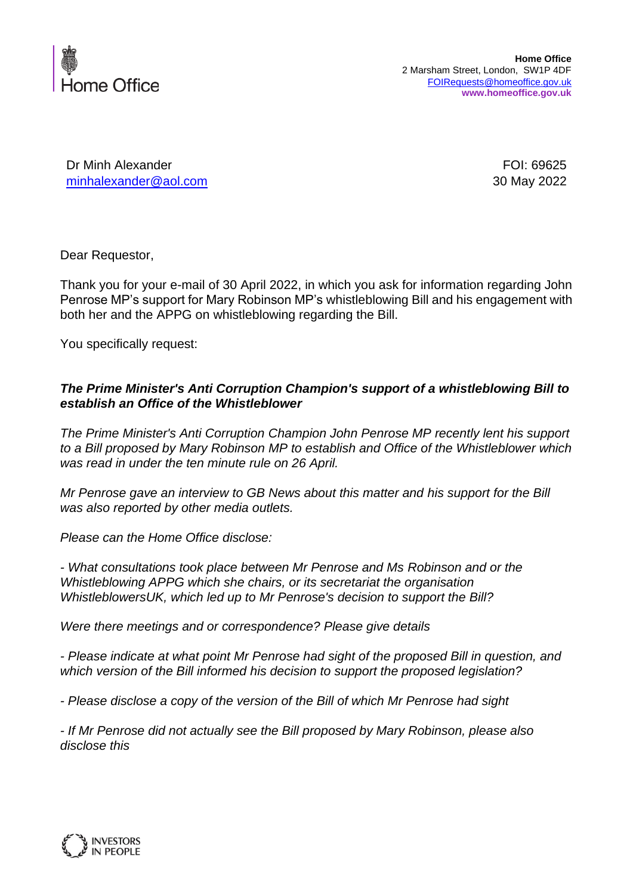

Dr Minh Alexander FOI: 69625 [minhalexander@aol.com](mailto:minhalexander@aol.com) 30 May 2022

Dear Requestor,

Thank you for your e-mail of 30 April 2022, in which you ask for information regarding John Penrose MP's support for Mary Robinson MP's whistleblowing Bill and his engagement with both her and the APPG on whistleblowing regarding the Bill.

You specifically request:

## *The Prime Minister's Anti Corruption Champion's support of a whistleblowing Bill to establish an Office of the Whistleblower*

*The Prime Minister's Anti Corruption Champion John Penrose MP recently lent his support to a Bill proposed by Mary Robinson MP to establish and Office of the Whistleblower which was read in under the ten minute rule on 26 April.*

*Mr Penrose gave an interview to GB News about this matter and his support for the Bill was also reported by other media outlets.*

*Please can the Home Office disclose:*

*- What consultations took place between Mr Penrose and Ms Robinson and or the Whistleblowing APPG which she chairs, or its secretariat the organisation WhistleblowersUK, which led up to Mr Penrose's decision to support the Bill?*

*Were there meetings and or correspondence? Please give details*

*- Please indicate at what point Mr Penrose had sight of the proposed Bill in question, and which version of the Bill informed his decision to support the proposed legislation?*

*- Please disclose a copy of the version of the Bill of which Mr Penrose had sight*

*- If Mr Penrose did not actually see the Bill proposed by Mary Robinson, please also disclose this*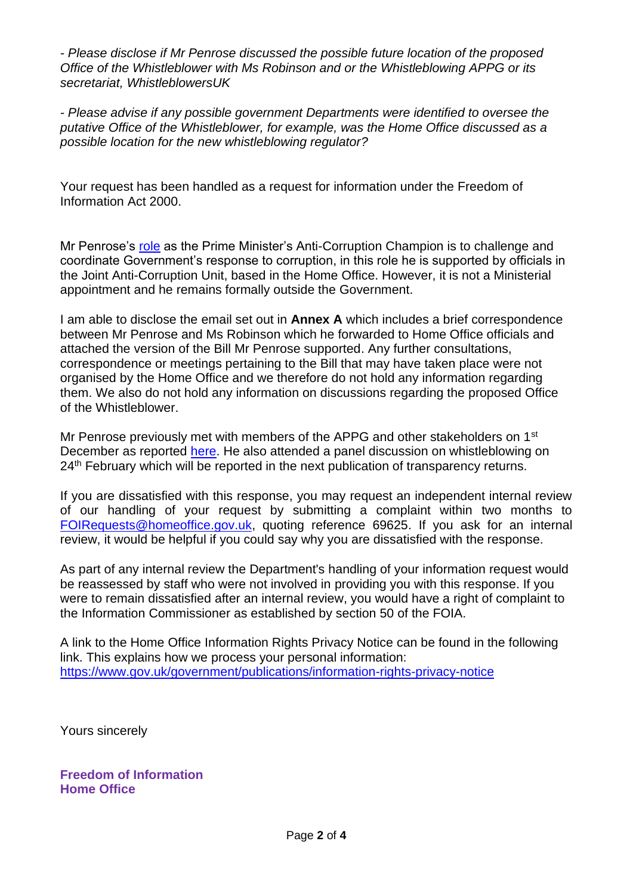*- Please disclose if Mr Penrose discussed the possible future location of the proposed Office of the Whistleblower with Ms Robinson and or the Whistleblowing APPG or its secretariat, WhistleblowersUK*

*- Please advise if any possible government Departments were identified to oversee the putative Office of the Whistleblower, for example, was the Home Office discussed as a possible location for the new whistleblowing regulator?*

Your request has been handled as a request for information under the Freedom of Information Act 2000.

Mr Penrose's [role](https://www.gov.uk/government/people/john-penrose) as the Prime Minister's Anti-Corruption Champion is to challenge and coordinate Government's response to corruption, in this role he is supported by officials in the Joint Anti-Corruption Unit, based in the Home Office. However, it is not a Ministerial appointment and he remains formally outside the Government.

I am able to disclose the email set out in **Annex A** which includes a brief correspondence between Mr Penrose and Ms Robinson which he forwarded to Home Office officials and attached the version of the Bill Mr Penrose supported. Any further consultations, correspondence or meetings pertaining to the Bill that may have taken place were not organised by the Home Office and we therefore do not hold any information regarding them. We also do not hold any information on discussions regarding the proposed Office of the Whistleblower.

Mr Penrose previously met with members of the APPG and other stakeholders on 1<sup>st</sup> December as reported [here.](https://www.gov.uk/government/publications/home-office-senior-officials-business-expenses-and-meetings-october-2021-to-december-2021) He also attended a panel discussion on whistleblowing on 24<sup>th</sup> February which will be reported in the next publication of transparency returns.

If you are dissatisfied with this response, you may request an independent internal review of our handling of your request by submitting a complaint within two months to [FOIRequests@homeoffice.gov.uk,](mailto:FOIRequests@homeoffice.gov.uk) quoting reference 69625. If you ask for an internal review, it would be helpful if you could say why you are dissatisfied with the response.

As part of any internal review the Department's handling of your information request would be reassessed by staff who were not involved in providing you with this response. If you were to remain dissatisfied after an internal review, you would have a right of complaint to the Information Commissioner as established by section 50 of the FOIA.

A link to the Home Office Information Rights Privacy Notice can be found in the following link. This explains how we process your personal information: <https://www.gov.uk/government/publications/information-rights-privacy-notice>

Yours sincerely

**Freedom of Information Home Office**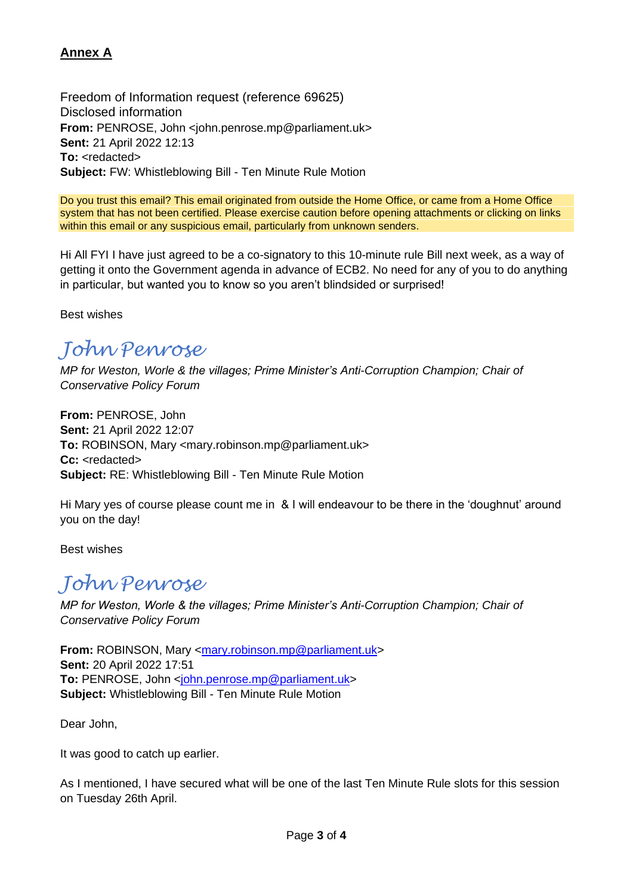## **Annex A**

Freedom of Information request (reference 69625) Disclosed information **From:** PENROSE, John <john.penrose.mp@parliament.uk> **Sent:** 21 April 2022 12:13 To: <redacted> **Subject:** FW: Whistleblowing Bill - Ten Minute Rule Motion

Do you trust this email? This email originated from outside the Home Office, or came from a Home Office system that has not been certified. Please exercise caution before opening attachments or clicking on links within this email or any suspicious email, particularly from unknown senders.

Hi All FYI I have just agreed to be a co-signatory to this 10-minute rule Bill next week, as a way of getting it onto the Government agenda in advance of ECB2. No need for any of you to do anything in particular, but wanted you to know so you aren't blindsided or surprised!

Best wishes

## *John Penrose*

*MP for Weston, Worle & the villages; Prime Minister's Anti-Corruption Champion; Chair of Conservative Policy Forum*

**From:** PENROSE, John **Sent:** 21 April 2022 12:07 **To:** ROBINSON, Mary <mary.robinson.mp@parliament.uk> Cc: <redacted> **Subject:** RE: Whistleblowing Bill - Ten Minute Rule Motion

Hi Mary yes of course please count me in & I will endeavour to be there in the 'doughnut' around you on the day!

Best wishes

## *John Penrose*

*MP for Weston, Worle & the villages; Prime Minister's Anti-Corruption Champion; Chair of Conservative Policy Forum*

**From:** ROBINSON, Mary [<mary.robinson.mp@parliament.uk>](mailto:mary.robinson.mp@parliament.uk) **Sent:** 20 April 2022 17:51 To: PENROSE, John [<john.penrose.mp@parliament.uk>](mailto:john.penrose.mp@parliament.uk) **Subject:** Whistleblowing Bill - Ten Minute Rule Motion

Dear John,

It was good to catch up earlier.

As I mentioned, I have secured what will be one of the last Ten Minute Rule slots for this session on Tuesday 26th April.